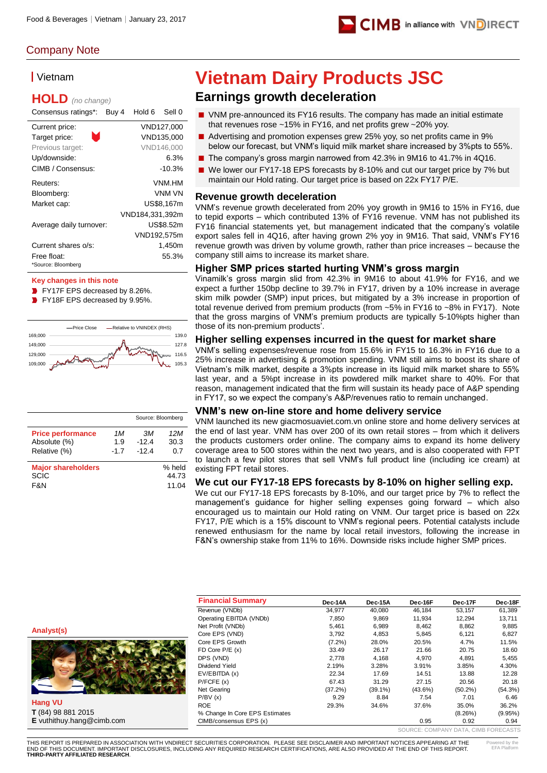

# Company Note

## ▎Vietnam

# **HOLD** *(no change)*

| Consensus ratings*:               | Buy 4 | Hold 6          | Sell 0     |
|-----------------------------------|-------|-----------------|------------|
| Current price:                    |       |                 | VND127,000 |
| ۰<br>Target price:                |       |                 | VND135.000 |
| Previous target:                  |       |                 | VND146.000 |
| Up/downside:                      |       |                 | 6.3%       |
| CIMB / Consensus:                 |       |                 | $-10.3%$   |
| Reuters:                          |       |                 | VNM HM     |
| Bloomberg:                        |       |                 | VNM VN     |
| Market cap:                       |       |                 | US\$8,167m |
|                                   |       | VND184,331,392m |            |
| Average daily turnover:           |       |                 | US\$8.52m  |
|                                   |       | VND192,575m     |            |
| Current shares o/s:               |       |                 | 1,450m     |
| Free float:<br>*Source: Bloomberg |       |                 | 55.3%      |

### **Key changes in this note**

- FY17F EPS decreased by 8.26%.
- **P** FY18F EPS decreased by 9.95%.



|                                          |        |         | Source: Bloomberg |
|------------------------------------------|--------|---------|-------------------|
| <b>Price performance</b>                 | 1M     | .ЗM     | 12 M              |
| Absolute (%)                             | 1.9    | $-12.4$ | 30.3              |
| Relative (%)                             | $-1.7$ | $-12.4$ | 0.7               |
| <b>Major shareholders</b><br><b>SCIC</b> |        |         | % held<br>44.73   |
| F&N                                      |        |         | 11.04             |

# **Vietnam Dairy Products JSC**

# **Earnings growth deceleration**

- VNM pre-announced its FY16 results. The company has made an initial estimate that revenues rose ~15% in FY16, and net profits grew ~20% yoy.
- Advertising and promotion expenses grew 25% yoy, so net profits came in 9% below our forecast, but VNM's liquid milk market share increased by 3%pts to 55%.
- The company's gross margin narrowed from 42.3% in 9M16 to 41.7% in 4Q16.
- We lower our FY17-18 EPS forecasts by 8-10% and cut our target price by 7% but maintain our Hold rating. Our target price is based on 22x FY17 P/E.

### **Revenue growth deceleration**

VNM's revenue growth decelerated from 20% yoy growth in 9M16 to 15% in FY16, due to tepid exports – which contributed 13% of FY16 revenue. VNM has not published its FY16 financial statements yet, but management indicated that the company's volatile export sales fell in 4Q16, after having grown 2% yoy in 9M16. That said, VNM's FY16 revenue growth was driven by volume growth, rather than price increases – because the company still aims to increase its market share.

### **Higher SMP prices started hurting VNM's gross margin**

Vinamilk's gross margin slid from 42.3% in 9M16 to about 41.9% for FY16, and we expect a further 150bp decline to 39.7% in FY17, driven by a 10% increase in average skim milk powder (SMP) input prices, but mitigated by a 3% increase in proportion of total revenue derived from premium products (from ~5% in FY16 to ~8% in FY17). Note that the gross margins of VNM's premium products are typically 5-10%pts higher than those of its non-premium products'.

### **Higher selling expenses incurred in the quest for market share**

VNM's selling expenses/revenue rose from 15.6% in FY15 to 16.3% in FY16 due to a 25% increase in advertising & promotion spending. VNM still aims to boost its share of Vietnam's milk market, despite a 3%pts increase in its liquid milk market share to 55% last year, and a 5%pt increase in its powdered milk market share to 40%. For that reason, management indicated that the firm will sustain its heady pace of A&P spending in FY17, so we expect the company's A&P/revenues ratio to remain unchanged.

### **VNM's new on-line store and home delivery service**

VNM launched its new giacmosuaviet.com.vn online store and home delivery services at the end of last year. VNM has over 200 of its own retail stores – from which it delivers the products customers order online. The company aims to expand its home delivery coverage area to 500 stores within the next two years, and is also cooperated with FPT to launch a few pilot stores that sell VNM's full product line (including ice cream) at existing FPT retail stores.

### **We cut our FY17-18 EPS forecasts by 8-10% on higher selling exp.**

We cut our FY17-18 EPS forecasts by 8-10%, and our target price by 7% to reflect the management's guidance for higher selling expenses going forward – which also encouraged us to maintain our Hold rating on VNM. Our target price is based on 22x FY17, P/E which is a 15% discount to VNM's regional peers. Potential catalysts include renewed enthusiasm for the name by local retail investors, following the increase in F&N's ownership stake from 11% to 16%. Downside risks include higher SMP prices.

#### **Analyst(s)**



**Hang VU T** (84) 98 881 2015 **E** vuthithuy.hang@cimb.com

| <b>Financial Summary</b>       | Dec-14A   | Dec-15A    | Dec-16F                             | Dec-17F    | Dec-18F    |
|--------------------------------|-----------|------------|-------------------------------------|------------|------------|
| Revenue (VNDb)                 | 34.977    | 40.080     | 46.184                              | 53,157     | 61,389     |
| Operating EBITDA (VNDb)        | 7,850     | 9,869      | 11.934                              | 12,294     | 13,711     |
| Net Profit (VNDb)              | 5.461     | 6.989      | 8.462                               | 8.862      | 9,885      |
| Core EPS (VND)                 | 3.792     | 4,853      | 5,845                               | 6,121      | 6,827      |
| Core EPS Growth                | $(7.2\%)$ | 28.0%      | 20.5%                               | 4.7%       | 11.5%      |
| FD Core $P/E(x)$               | 33.49     | 26.17      | 21.66                               | 20.75      | 18.60      |
| DPS (VND)                      | 2.778     | 4,168      | 4.970                               | 4.891      | 5,455      |
| Dividend Yield                 | 2.19%     | 3.28%      | 3.91%                               | 3.85%      | 4.30%      |
| EV/EBITDA (x)                  | 22.34     | 17.69      | 14.51                               | 13.88      | 12.28      |
| P/FCFE(x)                      | 67.43     | 31.29      | 27.15                               | 20.56      | 20.18      |
| Net Gearing                    | (37.2%)   | $(39.1\%)$ | $(43.6\%)$                          | $(50.2\%)$ | $(54.3\%)$ |
| P/BV(x)                        | 9.29      | 8.84       | 7.54                                | 7.01       | 6.46       |
| <b>ROE</b>                     | 29.3%     | 34.6%      | 37.6%                               | 35.0%      | 36.2%      |
| % Change In Core EPS Estimates |           |            |                                     | (8.26%)    | (9.95%)    |
| CIMB/consensus EPS (x)         |           |            | 0.95                                | 0.92       | 0.94       |
|                                |           |            | SOURCE: COMPANY DATA CIMB FORECASTS |            |            |

THIS REPORT IS PREPARED IN ASSOCIATION WITH VNDIRECT SECURITIES CORPORATION. PLEASE SEE DISCLAIMER AND IMPORTANT NOTICES APPEARING AT THE END OF THIS DOCUMENT. IMPORTANT DISCLOSURES, INCLUDING ANY REQUIRED RESEARCH CERTIFICATIONS, ARE ALSO PROVIDED AT THE END OF THIS REPORT. **THIRD-PARTY AFFILIATED RESEARCH**.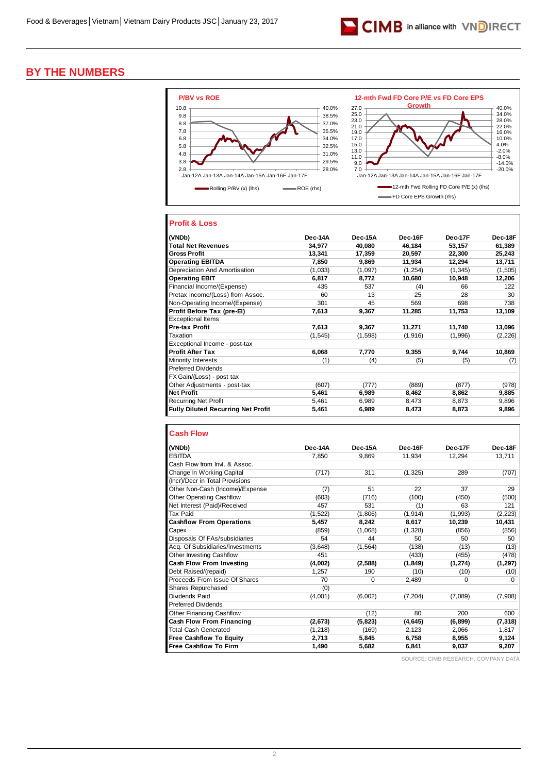

# **BY THE NUMBERS**



### **Profit & Loss**

| (VNDb)                                    | Dec-14A  | Dec-15A | Dec-16F | Dec-17F  | Dec-18F  |
|-------------------------------------------|----------|---------|---------|----------|----------|
| <b>Total Net Revenues</b>                 | 34,977   | 40,080  | 46,184  | 53,157   | 61,389   |
| <b>Gross Profit</b>                       | 13,341   | 17,359  | 20,597  | 22,300   | 25,243   |
| <b>Operating EBITDA</b>                   | 7,850    | 9,869   | 11,934  | 12,294   | 13,711   |
| Depreciation And Amortisation             | (1,033)  | (1,097) | (1,254) | (1, 345) | (1, 505) |
| <b>Operating EBIT</b>                     | 6,817    | 8,772   | 10,680  | 10,948   | 12,206   |
| Financial Income/(Expense)                | 435      | 537     | (4)     | 66       | 122      |
| Pretax Income/(Loss) from Assoc.          | 60       | 13      | 25      | 28       | 30       |
| Non-Operating Income/(Expense)            | 301      | 45      | 569     | 698      | 738      |
| Profit Before Tax (pre-El)                | 7,613    | 9,367   | 11,285  | 11,753   | 13,109   |
| <b>Exceptional Items</b>                  |          |         |         |          |          |
| <b>Pre-tax Profit</b>                     | 7.613    | 9.367   | 11,271  | 11,740   | 13,096   |
| Taxation                                  | (1, 545) | (1,598) | (1,916) | (1,996)  | (2, 226) |
| Exceptional Income - post-tax             |          |         |         |          |          |
| <b>Profit After Tax</b>                   | 6,068    | 7,770   | 9,355   | 9,744    | 10,869   |
| Minority Interests                        | (1)      | (4)     | (5)     | (5)      | (7)      |
| <b>Preferred Dividends</b>                |          |         |         |          |          |
| FX Gain/(Loss) - post tax                 |          |         |         |          |          |
| Other Adjustments - post-tax              | (607)    | (777)   | (889)   | (877)    | (978)    |
| <b>Net Profit</b>                         | 5,461    | 6,989   | 8,462   | 8,862    | 9,885    |
| <b>Recurring Net Profit</b>               | 5,461    | 6,989   | 8,473   | 8,873    | 9,896    |
| <b>Fully Diluted Recurring Net Profit</b> | 5,461    | 6,989   | 8,473   | 8,873    | 9,896    |

| (VNDb)                           | Dec-14A  | Dec-15A     | Dec-16F  | Dec-17F  | Dec-18F  |
|----------------------------------|----------|-------------|----------|----------|----------|
| <b>EBITDA</b>                    | 7.850    | 9.869       | 11,934   | 12,294   | 13,711   |
| Cash Flow from Invt. & Assoc.    |          |             |          |          |          |
| Change In Working Capital        | (717)    | 311         | (1, 325) | 289      | (707)    |
| (Incr)/Decr in Total Provisions  |          |             |          |          |          |
| Other Non-Cash (Income)/Expense  | (7)      | 51          | 22       | 37       | 29       |
| <b>Other Operating Cashflow</b>  | (603)    | (716)       | (100)    | (450)    | (500)    |
| Net Interest (Paid)/Received     | 457      | 531         | (1)      | 63       | 121      |
| <b>Tax Paid</b>                  | (1, 522) | (1,806)     | (1, 914) | (1,993)  | (2, 223) |
| <b>Cashflow From Operations</b>  | 5,457    | 8,242       | 8,617    | 10,239   | 10,431   |
| Capex                            | (859)    | (1,068)     | (1,328)  | (856)    | (856)    |
| Disposals Of FAs/subsidiaries    | 54       | 44          | 50       | 50       | 50       |
| Acq. Of Subsidiaries/investments | (3,648)  | (1, 564)    | (138)    | (13)     | (13)     |
| <b>Other Investing Cashflow</b>  | 451      |             | (433)    | (455)    | (478)    |
| <b>Cash Flow From Investing</b>  | (4,002)  | (2,588)     | (1, 849) | (1, 274) | (1,297)  |
| Debt Raised/(repaid)             | 1,257    | 190         | (10)     | (10)     | (10)     |
| Proceeds From Issue Of Shares    | 70       | $\mathbf 0$ | 2,489    | 0        | 0        |
| Shares Repurchased               | (0)      |             |          |          |          |
| Dividends Paid                   | (4,001)  | (6,002)     | (7, 204) | (7,089)  | (7,908)  |
| <b>Preferred Dividends</b>       |          |             |          |          |          |
| Other Financing Cashflow         |          | (12)        | 80       | 200      | 600      |
| <b>Cash Flow From Financing</b>  | (2,673)  | (5,823)     | (4, 645) | (6, 899) | (7, 318) |
| <b>Total Cash Generated</b>      | (1, 218) | (169)       | 2,123    | 2,066    | 1,817    |
| <b>Free Cashflow To Equity</b>   | 2.713    | 5,845       | 6,758    | 8,955    | 9,124    |
| <b>Free Cashflow To Firm</b>     | 1,490    | 5,682       | 6,841    | 9,037    | 9,207    |

SOURCE: CIMB RESEARCH, COMPANY DATA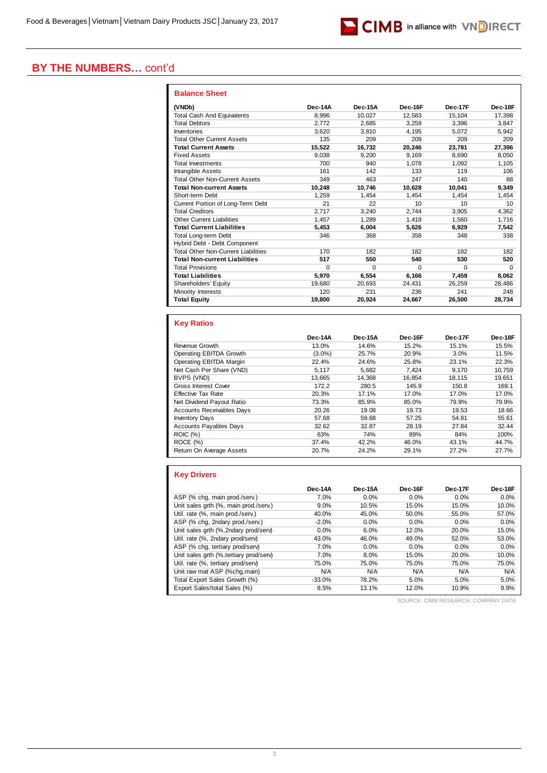

# **BY THE NUMBERS…** cont'd

| <b>Balance Sheet</b>                       |          |         |          |          |                 |
|--------------------------------------------|----------|---------|----------|----------|-----------------|
| (VNDb)                                     | Dec-14A  | Dec-15A | Dec-16F  | Dec-17F  | Dec-18F         |
| <b>Total Cash And Equivalents</b>          | 8.996    | 10.027  | 12.583   | 15.104   | 17.398          |
| <b>Total Debtors</b>                       | 2.772    | 2.685   | 3.259    | 3.396    | 3.847           |
| Inventories                                | 3.620    | 3.810   | 4.195    | 5.072    | 5.942           |
| <b>Total Other Current Assets</b>          | 135      | 209     | 209      | 209      | 209             |
| <b>Total Current Assets</b>                | 15.522   | 16.732  | 20.246   | 23.781   | 27.396          |
| <b>Fixed Assets</b>                        | 9.038    | 9.200   | 9.169    | 8.690    | 8.050           |
| <b>Total Investments</b>                   | 700      | 940     | 1.078    | 1.092    | 1,105           |
| Intangible Assets                          | 161      | 142     | 133      | 119      | 106             |
| <b>Total Other Non-Current Assets</b>      | 349      | 463     | 247      | 140      | 88              |
| <b>Total Non-current Assets</b>            | 10,248   | 10.746  | 10.628   | 10.041   | 9,349           |
| Short-term Debt                            | 1.259    | 1.454   | 1.454    | 1.454    | 1.454           |
| Current Portion of Long-Term Debt          | 21       | 22      | 10       | 10       | 10 <sup>1</sup> |
| <b>Total Creditors</b>                     | 2.717    | 3.240   | 2.744    | 3.905    | 4,362           |
| Other Current Liabilities                  | 1.457    | 1.289   | 1.418    | 1.560    | 1.716           |
| <b>Total Current Liabilities</b>           | 5.453    | 6.004   | 5.626    | 6.929    | 7.542           |
| <b>Total Long-term Debt</b>                | 346      | 368     | 358      | 348      | 338             |
| Hybrid Debt - Debt Component               |          |         |          |          |                 |
| <b>Total Other Non-Current Liabilities</b> | 170      | 182     | 182      | 182      | 182             |
| <b>Total Non-current Liabilities</b>       | 517      | 550     | 540      | 530      | 520             |
| <b>Total Provisions</b>                    | $\Omega$ | 0       | $\Omega$ | $\Omega$ | $\Omega$        |
| <b>Total Liabilities</b>                   | 5.970    | 6.554   | 6.166    | 7.459    | 8.062           |
| Shareholders' Equity                       | 19.680   | 20.693  | 24.431   | 26.259   | 28,486          |
| Minority Interests                         | 120      | 231     | 236      | 241      | 248             |
| <b>Total Equity</b>                        | 19.800   | 20.924  | 24,667   | 26.500   | 28,734          |

### **Key Ratios**

|                                  | Dec-14A   | Dec-15A | Dec-16F | Dec-17F | Dec-18F |
|----------------------------------|-----------|---------|---------|---------|---------|
| Revenue Growth                   | 13.0%     | 14.6%   | 15.2%   | 15.1%   | 15.5%   |
| Operating EBITDA Growth          | $(3.0\%)$ | 25.7%   | 20.9%   | 3.0%    | 11.5%   |
| Operating EBITDA Margin          | 22.4%     | 24.6%   | 25.8%   | 23.1%   | 22.3%   |
| Net Cash Per Share (VND)         | 5.117     | 5,682   | 7.424   | 9.170   | 10,759  |
| BVPS (VND)                       | 13.665    | 14.368  | 16.854  | 18.115  | 19.651  |
| <b>Gross Interest Cover</b>      | 172.2     | 280.5   | 145.9   | 150.8   | 169.1   |
| Effective Tax Rate               | 20.3%     | 17.1%   | 17.0%   | 17.0%   | 17.0%   |
| Net Dividend Payout Ratio        | 73.3%     | 85.9%   | 85.0%   | 79.9%   | 79.9%   |
| <b>Accounts Receivables Days</b> | 20.26     | 19.08   | 19.73   | 19.53   | 18.66   |
| <b>Inventory Days</b>            | 57.68     | 59.68   | 57.25   | 54.81   | 55.61   |
| <b>Accounts Payables Days</b>    | 32.62     | 32.87   | 28.19   | 27.84   | 32.44   |
| <b>ROIC (%)</b>                  | 63%       | 74%     | 89%     | 84%     | 100%    |
| ROCE (%)                         | 37.4%     | 42.2%   | 46.0%   | 43.1%   | 44.7%   |
| Return On Average Assets         | 20.7%     | 24.2%   | 29.1%   | 27.2%   | 27.7%   |

### **Key Drivers**

|                                         | Dec-14A  | Dec-15A | Dec-16F | Dec-17F | Dec-18F |
|-----------------------------------------|----------|---------|---------|---------|---------|
| ASP (% chq, main prod./serv.)           | 7.0%     | 0.0%    | 0.0%    | $0.0\%$ | 0.0%    |
| Unit sales grth (%, main prod./serv.)   | 9.0%     | 10.5%   | 15.0%   | 15.0%   | 10.0%   |
| Util. rate (%, main prod./serv.)        | 40.0%    | 45.0%   | 50.0%   | 55.0%   | 57.0%   |
| ASP (% chg. 2ndary prod./serv.)         | $-2.0%$  | 0.0%    | 0.0%    | $0.0\%$ | 0.0%    |
| Unit sales grth (%, 2ndary prod/serv)   | 0.0%     | 6.0%    | 12.0%   | 20.0%   | 15.0%   |
| Util. rate (%, 2ndary prod/serv)        | 43.0%    | 46.0%   | 49.0%   | 52.0%   | 53.0%   |
| ASP (% chq, tertiary prod/serv)         | 7.0%     | 0.0%    | 0.0%    | $0.0\%$ | 0.0%    |
| Unit sales grth (%, tertiary prod/serv) | 7.0%     | 8.0%    | 15.0%   | 20.0%   | 10.0%   |
| Util. rate (%, tertiary prod/serv)      | 75.0%    | 75.0%   | 75.0%   | 75.0%   | 75.0%   |
| Unit raw mat ASP (%chq, main)           | N/A      | N/A     | N/A     | N/A     | N/A     |
| Total Export Sales Growth (%)           | $-33.0%$ | 78.2%   | 5.0%    | 5.0%    | 5.0%    |
| Export Sales/total Sales (%)            | 8.5%     | 13.1%   | 12.0%   | 10.9%   | 9.9%    |

SOURCE: CIMB RESEARCH, COMPANY DATA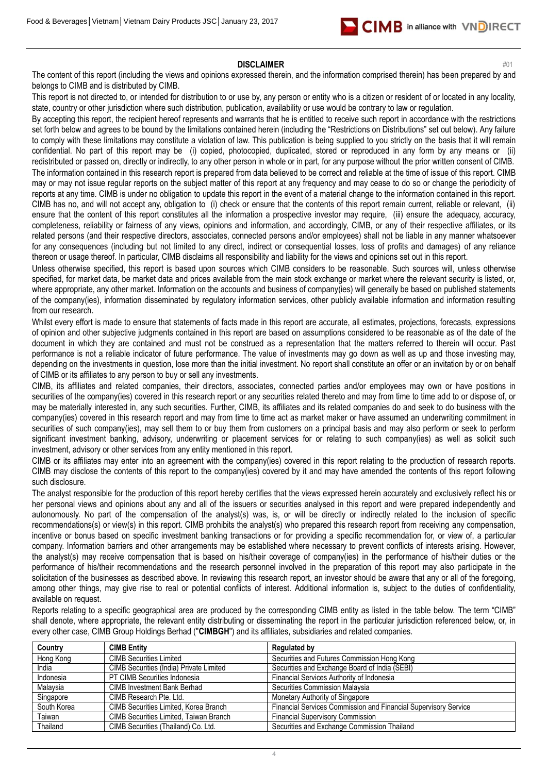

### **DISCLAIMER** #01

The content of this report (including the views and opinions expressed therein, and the information comprised therein) has been prepared by and belongs to CIMB and is distributed by CIMB.

This report is not directed to, or intended for distribution to or use by, any person or entity who is a citizen or resident of or located in any locality, state, country or other jurisdiction where such distribution, publication, availability or use would be contrary to law or regulation.

By accepting this report, the recipient hereof represents and warrants that he is entitled to receive such report in accordance with the restrictions set forth below and agrees to be bound by the limitations contained herein (including the "Restrictions on Distributions" set out below). Any failure to comply with these limitations may constitute a violation of law. This publication is being supplied to you strictly on the basis that it will remain confidential. No part of this report may be (i) copied, photocopied, duplicated, stored or reproduced in any form by any means or (ii) redistributed or passed on, directly or indirectly, to any other person in whole or in part, for any purpose without the prior written consent of CIMB. The information contained in this research report is prepared from data believed to be correct and reliable at the time of issue of this report. CIMB may or may not issue regular reports on the subject matter of this report at any frequency and may cease to do so or change the periodicity of reports at any time. CIMB is under no obligation to update this report in the event of a material change to the information contained in this report. CIMB has no, and will not accept any, obligation to (i) check or ensure that the contents of this report remain current, reliable or relevant, (ii) ensure that the content of this report constitutes all the information a prospective investor may require, (iii) ensure the adequacy, accuracy, completeness, reliability or fairness of any views, opinions and information, and accordingly, CIMB, or any of their respective affiliates, or its related persons (and their respective directors, associates, connected persons and/or employees) shall not be liable in any manner whatsoever for any consequences (including but not limited to any direct, indirect or consequential losses, loss of profits and damages) of any reliance thereon or usage thereof. In particular, CIMB disclaims all responsibility and liability for the views and opinions set out in this report.

Unless otherwise specified, this report is based upon sources which CIMB considers to be reasonable. Such sources will, unless otherwise specified, for market data, be market data and prices available from the main stock exchange or market where the relevant security is listed, or, where appropriate, any other market. Information on the accounts and business of company(ies) will generally be based on published statements of the company(ies), information disseminated by regulatory information services, other publicly available information and information resulting from our research.

Whilst every effort is made to ensure that statements of facts made in this report are accurate, all estimates, projections, forecasts, expressions of opinion and other subjective judgments contained in this report are based on assumptions considered to be reasonable as of the date of the document in which they are contained and must not be construed as a representation that the matters referred to therein will occur. Past performance is not a reliable indicator of future performance. The value of investments may go down as well as up and those investing may, depending on the investments in question, lose more than the initial investment. No report shall constitute an offer or an invitation by or on behalf of CIMB or its affiliates to any person to buy or sell any investments.

CIMB, its affiliates and related companies, their directors, associates, connected parties and/or employees may own or have positions in securities of the company(ies) covered in this research report or any securities related thereto and may from time to time add to or dispose of, or may be materially interested in, any such securities. Further, CIMB, its affiliates and its related companies do and seek to do business with the company(ies) covered in this research report and may from time to time act as market maker or have assumed an underwriting commitment in securities of such company(ies), may sell them to or buy them from customers on a principal basis and may also perform or seek to perform significant investment banking, advisory, underwriting or placement services for or relating to such company(ies) as well as solicit such investment, advisory or other services from any entity mentioned in this report.

CIMB or its affiliates may enter into an agreement with the company(ies) covered in this report relating to the production of research reports. CIMB may disclose the contents of this report to the company(ies) covered by it and may have amended the contents of this report following such disclosure.

The analyst responsible for the production of this report hereby certifies that the views expressed herein accurately and exclusively reflect his or her personal views and opinions about any and all of the issuers or securities analysed in this report and were prepared independently and autonomously. No part of the compensation of the analyst(s) was, is, or will be directly or indirectly related to the inclusion of specific recommendations(s) or view(s) in this report. CIMB prohibits the analyst(s) who prepared this research report from receiving any compensation, incentive or bonus based on specific investment banking transactions or for providing a specific recommendation for, or view of, a particular company. Information barriers and other arrangements may be established where necessary to prevent conflicts of interests arising. However, the analyst(s) may receive compensation that is based on his/their coverage of company(ies) in the performance of his/their duties or the performance of his/their recommendations and the research personnel involved in the preparation of this report may also participate in the solicitation of the businesses as described above. In reviewing this research report, an investor should be aware that any or all of the foregoing, among other things, may give rise to real or potential conflicts of interest. Additional information is, subject to the duties of confidentiality, available on request.

Reports relating to a specific geographical area are produced by the corresponding CIMB entity as listed in the table below. The term "CIMB" shall denote, where appropriate, the relevant entity distributing or disseminating the report in the particular jurisdiction referenced below, or, in every other case, CIMB Group Holdings Berhad ("**CIMBGH**") and its affiliates, subsidiaries and related companies.

| Country     | <b>CIMB Entity</b>                            | <b>Regulated by</b>                                             |
|-------------|-----------------------------------------------|-----------------------------------------------------------------|
| Hong Kong   | <b>CIMB Securities Limited</b>                | Securities and Futures Commission Hong Kong                     |
| India       | CIMB Securities (India) Private Limited       | Securities and Exchange Board of India (SEBI)                   |
| Indonesia   | PT CIMB Securities Indonesia                  | Financial Services Authority of Indonesia                       |
| Malaysia    | CIMB Investment Bank Berhad                   | Securities Commission Malaysia                                  |
| Singapore   | CIMB Research Pte. Ltd.                       | Monetary Authority of Singapore                                 |
| South Korea | CIMB Securities Limited, Korea Branch         | Financial Services Commission and Financial Supervisory Service |
| Taiwan      | <b>CIMB Securities Limited, Taiwan Branch</b> | <b>Financial Supervisory Commission</b>                         |
| Thailand    | CIMB Securities (Thailand) Co. Ltd.           | Securities and Exchange Commission Thailand                     |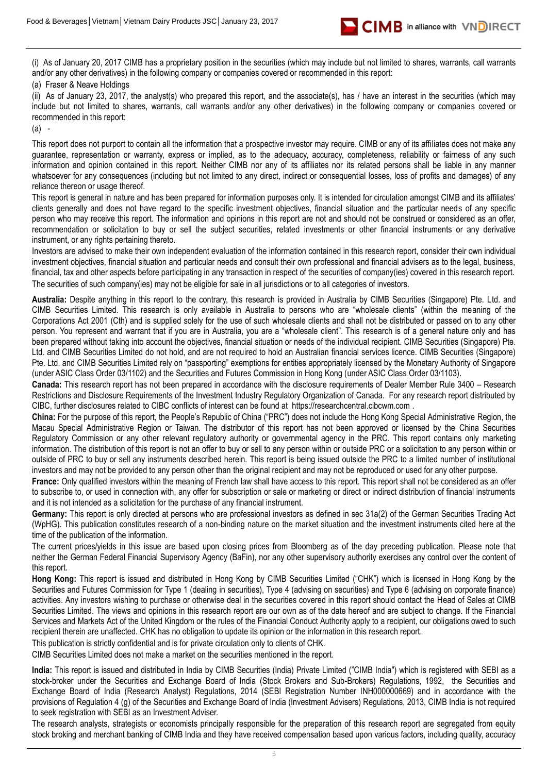

(i) As of January 20, 2017 CIMB has a proprietary position in the securities (which may include but not limited to shares, warrants, call warrants and/or any other derivatives) in the following company or companies covered or recommended in this report:

### (a) Fraser & Neave Holdings

(ii) As of January 23, 2017, the analyst(s) who prepared this report, and the associate(s), has / have an interest in the securities (which may include but not limited to shares, warrants, call warrants and/or any other derivatives) in the following company or companies covered or recommended in this report:

(a) -

This report does not purport to contain all the information that a prospective investor may require. CIMB or any of its affiliates does not make any guarantee, representation or warranty, express or implied, as to the adequacy, accuracy, completeness, reliability or fairness of any such information and opinion contained in this report. Neither CIMB nor any of its affiliates nor its related persons shall be liable in any manner whatsoever for any consequences (including but not limited to any direct, indirect or consequential losses, loss of profits and damages) of any reliance thereon or usage thereof.

This report is general in nature and has been prepared for information purposes only. It is intended for circulation amongst CIMB and its affiliates' clients generally and does not have regard to the specific investment objectives, financial situation and the particular needs of any specific person who may receive this report. The information and opinions in this report are not and should not be construed or considered as an offer, recommendation or solicitation to buy or sell the subject securities, related investments or other financial instruments or any derivative instrument, or any rights pertaining thereto.

Investors are advised to make their own independent evaluation of the information contained in this research report, consider their own individual investment objectives, financial situation and particular needs and consult their own professional and financial advisers as to the legal, business, financial, tax and other aspects before participating in any transaction in respect of the securities of company(ies) covered in this research report. The securities of such company(ies) may not be eligible for sale in all jurisdictions or to all categories of investors.

**Australia:** Despite anything in this report to the contrary, this research is provided in Australia by CIMB Securities (Singapore) Pte. Ltd. and CIMB Securities Limited. This research is only available in Australia to persons who are "wholesale clients" (within the meaning of the Corporations Act 2001 (Cth) and is supplied solely for the use of such wholesale clients and shall not be distributed or passed on to any other person. You represent and warrant that if you are in Australia, you are a "wholesale client". This research is of a general nature only and has been prepared without taking into account the objectives, financial situation or needs of the individual recipient. CIMB Securities (Singapore) Pte. Ltd. and CIMB Securities Limited do not hold, and are not required to hold an Australian financial services licence. CIMB Securities (Singapore) Pte. Ltd. and CIMB Securities Limited rely on "passporting" exemptions for entities appropriately licensed by the Monetary Authority of Singapore (under ASIC Class Order 03/1102) and the Securities and Futures Commission in Hong Kong (under ASIC Class Order 03/1103).

**Canada:** This research report has not been prepared in accordance with the disclosure requirements of Dealer Member Rule 3400 – Research Restrictions and Disclosure Requirements of the Investment Industry Regulatory Organization of Canada. For any research report distributed by CIBC, further disclosures related to CIBC conflicts of interest can be found at https://researchcentral.cibcwm.com .

**China:** For the purpose of this report, the People's Republic of China ("PRC") does not include the Hong Kong Special Administrative Region, the Macau Special Administrative Region or Taiwan. The distributor of this report has not been approved or licensed by the China Securities Regulatory Commission or any other relevant regulatory authority or governmental agency in the PRC. This report contains only marketing information. The distribution of this report is not an offer to buy or sell to any person within or outside PRC or a solicitation to any person within or outside of PRC to buy or sell any instruments described herein. This report is being issued outside the PRC to a limited number of institutional investors and may not be provided to any person other than the original recipient and may not be reproduced or used for any other purpose.

**France:** Only qualified investors within the meaning of French law shall have access to this report. This report shall not be considered as an offer to subscribe to, or used in connection with, any offer for subscription or sale or marketing or direct or indirect distribution of financial instruments and it is not intended as a solicitation for the purchase of any financial instrument.

**Germany:** This report is only directed at persons who are professional investors as defined in sec 31a(2) of the German Securities Trading Act (WpHG). This publication constitutes research of a non-binding nature on the market situation and the investment instruments cited here at the time of the publication of the information.

The current prices/yields in this issue are based upon closing prices from Bloomberg as of the day preceding publication. Please note that neither the German Federal Financial Supervisory Agency (BaFin), nor any other supervisory authority exercises any control over the content of this report.

**Hong Kong:** This report is issued and distributed in Hong Kong by CIMB Securities Limited ("CHK") which is licensed in Hong Kong by the Securities and Futures Commission for Type 1 (dealing in securities), Type 4 (advising on securities) and Type 6 (advising on corporate finance) activities. Any investors wishing to purchase or otherwise deal in the securities covered in this report should contact the Head of Sales at CIMB Securities Limited. The views and opinions in this research report are our own as of the date hereof and are subject to change. If the Financial Services and Markets Act of the United Kingdom or the rules of the Financial Conduct Authority apply to a recipient, our obligations owed to such recipient therein are unaffected. CHK has no obligation to update its opinion or the information in this research report.

This publication is strictly confidential and is for private circulation only to clients of CHK. CIMB Securities Limited does not make a market on the securities mentioned in the report.

**India:** This report is issued and distributed in India by CIMB Securities (India) Private Limited ("CIMB India") which is registered with SEBI as a stock-broker under the Securities and Exchange Board of India (Stock Brokers and Sub-Brokers) Regulations, 1992, the Securities and Exchange Board of India (Research Analyst) Regulations, 2014 (SEBI Registration Number INH000000669) and in accordance with the provisions of Regulation 4 (g) of the Securities and Exchange Board of India (Investment Advisers) Regulations, 2013, CIMB India is not required to seek registration with SEBI as an Investment Adviser.

The research analysts, strategists or economists principally responsible for the preparation of this research report are segregated from equity stock broking and merchant banking of CIMB India and they have received compensation based upon various factors, including quality, accuracy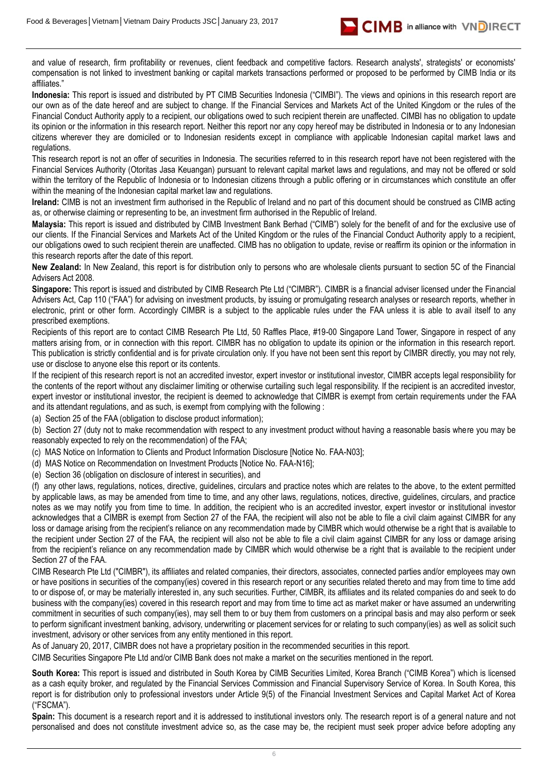

and value of research, firm profitability or revenues, client feedback and competitive factors. Research analysts', strategists' or economists' compensation is not linked to investment banking or capital markets transactions performed or proposed to be performed by CIMB India or its affiliates."

**Indonesia:** This report is issued and distributed by PT CIMB Securities Indonesia ("CIMBI"). The views and opinions in this research report are our own as of the date hereof and are subject to change. If the Financial Services and Markets Act of the United Kingdom or the rules of the Financial Conduct Authority apply to a recipient, our obligations owed to such recipient therein are unaffected. CIMBI has no obligation to update its opinion or the information in this research report. Neither this report nor any copy hereof may be distributed in Indonesia or to any Indonesian citizens wherever they are domiciled or to Indonesian residents except in compliance with applicable Indonesian capital market laws and regulations.

This research report is not an offer of securities in Indonesia. The securities referred to in this research report have not been registered with the Financial Services Authority (Otoritas Jasa Keuangan) pursuant to relevant capital market laws and regulations, and may not be offered or sold within the territory of the Republic of Indonesia or to Indonesian citizens through a public offering or in circumstances which constitute an offer within the meaning of the Indonesian capital market law and regulations.

**Ireland:** CIMB is not an investment firm authorised in the Republic of Ireland and no part of this document should be construed as CIMB acting as, or otherwise claiming or representing to be, an investment firm authorised in the Republic of Ireland.

**Malaysia:** This report is issued and distributed by CIMB Investment Bank Berhad ("CIMB") solely for the benefit of and for the exclusive use of our clients. If the Financial Services and Markets Act of the United Kingdom or the rules of the Financial Conduct Authority apply to a recipient, our obligations owed to such recipient therein are unaffected. CIMB has no obligation to update, revise or reaffirm its opinion or the information in this research reports after the date of this report.

**New Zealand:** In New Zealand, this report is for distribution only to persons who are wholesale clients pursuant to section 5C of the Financial Advisers Act 2008.

**Singapore:** This report is issued and distributed by CIMB Research Pte Ltd ("CIMBR"). CIMBR is a financial adviser licensed under the Financial Advisers Act, Cap 110 ("FAA") for advising on investment products, by issuing or promulgating research analyses or research reports, whether in electronic, print or other form. Accordingly CIMBR is a subject to the applicable rules under the FAA unless it is able to avail itself to any prescribed exemptions.

Recipients of this report are to contact CIMB Research Pte Ltd, 50 Raffles Place, #19-00 Singapore Land Tower, Singapore in respect of any matters arising from, or in connection with this report. CIMBR has no obligation to update its opinion or the information in this research report. This publication is strictly confidential and is for private circulation only. If you have not been sent this report by CIMBR directly, you may not rely, use or disclose to anyone else this report or its contents.

If the recipient of this research report is not an accredited investor, expert investor or institutional investor, CIMBR accepts legal responsibility for the contents of the report without any disclaimer limiting or otherwise curtailing such legal responsibility. If the recipient is an accredited investor, expert investor or institutional investor, the recipient is deemed to acknowledge that CIMBR is exempt from certain requirements under the FAA and its attendant regulations, and as such, is exempt from complying with the following :

(a) Section 25 of the FAA (obligation to disclose product information);

(b) Section 27 (duty not to make recommendation with respect to any investment product without having a reasonable basis where you may be reasonably expected to rely on the recommendation) of the FAA;

(c) MAS Notice on Information to Clients and Product Information Disclosure [Notice No. FAA-N03];

(d) MAS Notice on Recommendation on Investment Products [Notice No. FAA-N16];

(e) Section 36 (obligation on disclosure of interest in securities), and

(f) any other laws, regulations, notices, directive, guidelines, circulars and practice notes which are relates to the above, to the extent permitted by applicable laws, as may be amended from time to time, and any other laws, regulations, notices, directive, guidelines, circulars, and practice notes as we may notify you from time to time. In addition, the recipient who is an accredited investor, expert investor or institutional investor acknowledges that a CIMBR is exempt from Section 27 of the FAA, the recipient will also not be able to file a civil claim against CIMBR for any loss or damage arising from the recipient's reliance on any recommendation made by CIMBR which would otherwise be a right that is available to the recipient under Section 27 of the FAA, the recipient will also not be able to file a civil claim against CIMBR for any loss or damage arising from the recipient's reliance on any recommendation made by CIMBR which would otherwise be a right that is available to the recipient under Section 27 of the FAA.

CIMB Research Pte Ltd ("CIMBR"), its affiliates and related companies, their directors, associates, connected parties and/or employees may own or have positions in securities of the company(ies) covered in this research report or any securities related thereto and may from time to time add to or dispose of, or may be materially interested in, any such securities. Further, CIMBR, its affiliates and its related companies do and seek to do business with the company(ies) covered in this research report and may from time to time act as market maker or have assumed an underwriting commitment in securities of such company(ies), may sell them to or buy them from customers on a principal basis and may also perform or seek to perform significant investment banking, advisory, underwriting or placement services for or relating to such company(ies) as well as solicit such investment, advisory or other services from any entity mentioned in this report.

As of January 20, 2017, CIMBR does not have a proprietary position in the recommended securities in this report.

CIMB Securities Singapore Pte Ltd and/or CIMB Bank does not make a market on the securities mentioned in the report.

**South Korea:** This report is issued and distributed in South Korea by CIMB Securities Limited, Korea Branch ("CIMB Korea") which is licensed as a cash equity broker, and regulated by the Financial Services Commission and Financial Supervisory Service of Korea. In South Korea, this report is for distribution only to professional investors under Article 9(5) of the Financial Investment Services and Capital Market Act of Korea ("FSCMA").

**Spain:** This document is a research report and it is addressed to institutional investors only. The research report is of a general nature and not personalised and does not constitute investment advice so, as the case may be, the recipient must seek proper advice before adopting any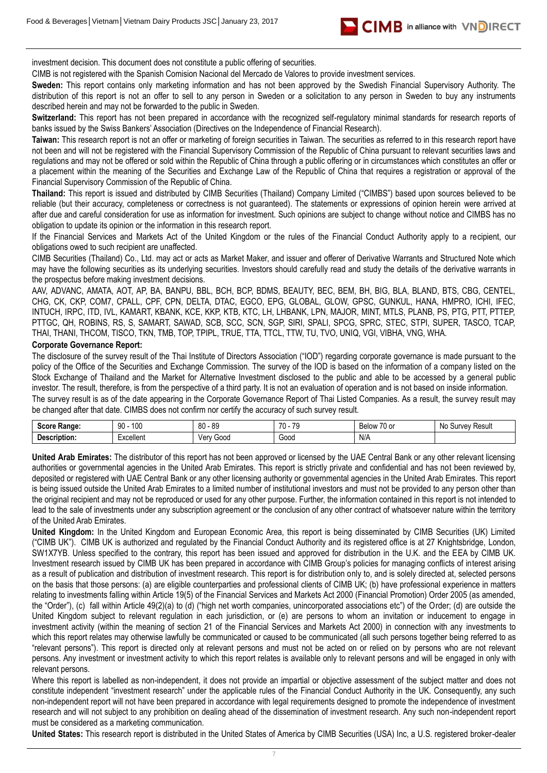

investment decision. This document does not constitute a public offering of securities.

CIMB is not registered with the Spanish Comision Nacional del Mercado de Valores to provide investment services.

**Sweden:** This report contains only marketing information and has not been approved by the Swedish Financial Supervisory Authority. The distribution of this report is not an offer to sell to any person in Sweden or a solicitation to any person in Sweden to buy any instruments described herein and may not be forwarded to the public in Sweden.

**Switzerland:** This report has not been prepared in accordance with the recognized self-regulatory minimal standards for research reports of banks issued by the Swiss Bankers' Association (Directives on the Independence of Financial Research).

Taiwan: This research report is not an offer or marketing of foreign securities in Taiwan. The securities as referred to in this research report have not been and will not be registered with the Financial Supervisory Commission of the Republic of China pursuant to relevant securities laws and regulations and may not be offered or sold within the Republic of China through a public offering or in circumstances which constitutes an offer or a placement within the meaning of the Securities and Exchange Law of the Republic of China that requires a registration or approval of the Financial Supervisory Commission of the Republic of China.

**Thailand:** This report is issued and distributed by CIMB Securities (Thailand) Company Limited ("CIMBS") based upon sources believed to be reliable (but their accuracy, completeness or correctness is not guaranteed). The statements or expressions of opinion herein were arrived at after due and careful consideration for use as information for investment. Such opinions are subject to change without notice and CIMBS has no obligation to update its opinion or the information in this research report.

If the Financial Services and Markets Act of the United Kingdom or the rules of the Financial Conduct Authority apply to a recipient, our obligations owed to such recipient are unaffected.

CIMB Securities (Thailand) Co., Ltd. may act or acts as Market Maker, and issuer and offerer of Derivative Warrants and Structured Note which may have the following securities as its underlying securities. Investors should carefully read and study the details of the derivative warrants in the prospectus before making investment decisions.

AAV, ADVANC, AMATA, AOT, AP, BA, BANPU, BBL, BCH, BCP, BDMS, BEAUTY, BEC, BEM, BH, BIG, BLA, BLAND, BTS, CBG, CENTEL, CHG, CK, CKP, COM7, CPALL, CPF, CPN, DELTA, DTAC, EGCO, EPG, GLOBAL, GLOW, GPSC, GUNKUL, HANA, HMPRO, ICHI, IFEC, INTUCH, IRPC, ITD, IVL, KAMART, KBANK, KCE, KKP, KTB, KTC, LH, LHBANK, LPN, MAJOR, MINT, MTLS, PLANB, PS, PTG, PTT, PTTEP, PTTGC, QH, ROBINS, RS, S, SAMART, SAWAD, SCB, SCC, SCN, SGP, SIRI, SPALI, SPCG, SPRC, STEC, STPI, SUPER, TASCO, TCAP, THAI, THANI, THCOM, TISCO, TKN, TMB, TOP, TPIPL, TRUE, TTA, TTCL, TTW, TU, TVO, UNIQ, VGI, VIBHA, VNG, WHA.

### **Corporate Governance Report:**

The disclosure of the survey result of the Thai Institute of Directors Association ("IOD") regarding corporate governance is made pursuant to the policy of the Office of the Securities and Exchange Commission. The survey of the IOD is based on the information of a company listed on the Stock Exchange of Thailand and the Market for Alternative Investment disclosed to the public and able to be accessed by a general public investor. The result, therefore, is from the perspective of a third party. It is not an evaluation of operation and is not based on inside information.

The survey result is as of the date appearing in the Corporate Governance Report of Thai Listed Companies. As a result, the survey result may be changed after that date. CIMBS does not confirm nor certify the accuracy of such survey result.

| Score<br>Range:     | 100<br>۵n<br>JV. | n n<br>$\circ$<br>. ბ<br>υv | $\overline{\phantom{a}}$<br>$\rightarrow$ | $\overline{\phantom{a}}$<br>70 or<br><b>Below</b> | Result<br>N0<br>Survey |
|---------------------|------------------|-----------------------------|-------------------------------------------|---------------------------------------------------|------------------------|
| <b>Description:</b> | :xcellen         | Good<br>Ver<br>আ            | Good                                      | N/A                                               |                        |

**United Arab Emirates:** The distributor of this report has not been approved or licensed by the UAE Central Bank or any other relevant licensing authorities or governmental agencies in the United Arab Emirates. This report is strictly private and confidential and has not been reviewed by, deposited or registered with UAE Central Bank or any other licensing authority or governmental agencies in the United Arab Emirates. This report is being issued outside the United Arab Emirates to a limited number of institutional investors and must not be provided to any person other than the original recipient and may not be reproduced or used for any other purpose. Further, the information contained in this report is not intended to lead to the sale of investments under any subscription agreement or the conclusion of any other contract of whatsoever nature within the territory of the United Arab Emirates.

**United Kingdom:** In the United Kingdom and European Economic Area, this report is being disseminated by CIMB Securities (UK) Limited ("CIMB UK"). CIMB UK is authorized and regulated by the Financial Conduct Authority and its registered office is at 27 Knightsbridge, London, SW1X7YB. Unless specified to the contrary, this report has been issued and approved for distribution in the U.K. and the EEA by CIMB UK. Investment research issued by CIMB UK has been prepared in accordance with CIMB Group's policies for managing conflicts of interest arising as a result of publication and distribution of investment research. This report is for distribution only to, and is solely directed at, selected persons on the basis that those persons: (a) are eligible counterparties and professional clients of CIMB UK; (b) have professional experience in matters relating to investments falling within Article 19(5) of the Financial Services and Markets Act 2000 (Financial Promotion) Order 2005 (as amended, the "Order"), (c) fall within Article 49(2)(a) to (d) ("high net worth companies, unincorporated associations etc") of the Order; (d) are outside the United Kingdom subject to relevant regulation in each jurisdiction, or (e) are persons to whom an invitation or inducement to engage in investment activity (within the meaning of section 21 of the Financial Services and Markets Act 2000) in connection with any investments to which this report relates may otherwise lawfully be communicated or caused to be communicated (all such persons together being referred to as "relevant persons"). This report is directed only at relevant persons and must not be acted on or relied on by persons who are not relevant persons. Any investment or investment activity to which this report relates is available only to relevant persons and will be engaged in only with relevant persons.

Where this report is labelled as non-independent, it does not provide an impartial or objective assessment of the subject matter and does not constitute independent "investment research" under the applicable rules of the Financial Conduct Authority in the UK. Consequently, any such non-independent report will not have been prepared in accordance with legal requirements designed to promote the independence of investment research and will not subject to any prohibition on dealing ahead of the dissemination of investment research. Any such non-independent report must be considered as a marketing communication.

**United States:** This research report is distributed in the United States of America by CIMB Securities (USA) Inc, a U.S. registered broker-dealer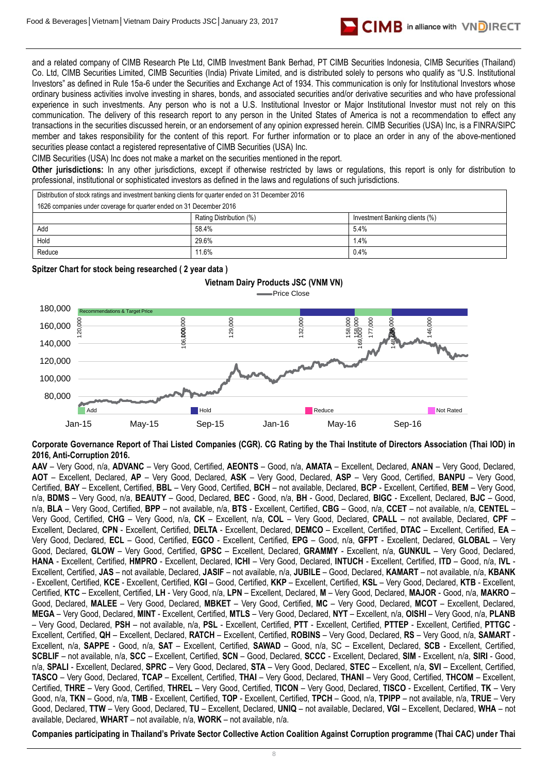

and a related company of CIMB Research Pte Ltd, CIMB Investment Bank Berhad, PT CIMB Securities Indonesia, CIMB Securities (Thailand) Co. Ltd, CIMB Securities Limited, CIMB Securities (India) Private Limited, and is distributed solely to persons who qualify as "U.S. Institutional Investors" as defined in Rule 15a-6 under the Securities and Exchange Act of 1934. This communication is only for Institutional Investors whose ordinary business activities involve investing in shares, bonds, and associated securities and/or derivative securities and who have professional experience in such investments. Any person who is not a U.S. Institutional Investor or Major Institutional Investor must not rely on this communication. The delivery of this research report to any person in the United States of America is not a recommendation to effect any transactions in the securities discussed herein, or an endorsement of any opinion expressed herein. CIMB Securities (USA) Inc, is a FINRA/SIPC member and takes responsibility for the content of this report. For further information or to place an order in any of the above-mentioned securities please contact a registered representative of CIMB Securities (USA) Inc.

CIMB Securities (USA) Inc does not make a market on the securities mentioned in the report.

**Other jurisdictions:** In any other jurisdictions, except if otherwise restricted by laws or regulations, this report is only for distribution to professional, institutional or sophisticated investors as defined in the laws and regulations of such jurisdictions.

Distribution of stock ratings and investment banking clients for quarter ended on 31 December 2016

| 1626 companies under coverage for quarter ended on 31 December 2016 |       |      |  |
|---------------------------------------------------------------------|-------|------|--|
| Rating Distribution (%)<br>Investment Banking clients (%)           |       |      |  |
| Add                                                                 | 58.4% | 5.4% |  |
| Hold                                                                | 29.6% | 1.4% |  |
| Reduce                                                              | 11.6% | 0.4% |  |

**Spitzer Chart for stock being researched ( 2 year data )** 



**Corporate Governance Report of Thai Listed Companies (CGR). CG Rating by the Thai Institute of Directors Association (Thai IOD) in 2016, Anti-Corruption 2016.**

**AAV** – Very Good, n/a, **ADVANC** – Very Good, Certified, **AEONTS** – Good, n/a, **AMATA** – Excellent, Declared, **ANAN** – Very Good, Declared, **AOT** – Excellent, Declared, **AP** – Very Good, Declared, **ASK** – Very Good, Declared, **ASP** – Very Good, Certified, **BANPU** – Very Good, Certified, **BAY** – Excellent, Certified, **BBL** – Very Good, Certified, **BCH** – not available, Declared, **BCP** - Excellent, Certified, **BEM** – Very Good, n/a, **BDMS** – Very Good, n/a, **BEAUTY** – Good, Declared, **BEC** - Good, n/a, **BH** - Good, Declared, **BIGC** - Excellent, Declared, **BJC** – Good, n/a, **BLA** – Very Good, Certified, **BPP** – not available, n/a, **BTS** - Excellent, Certified, **CBG** – Good, n/a, **CCET** – not available, n/a, **CENTEL** – Very Good, Certified, **CHG** – Very Good, n/a, **CK** – Excellent, n/a, **COL** – Very Good, Declared, **CPALL** – not available, Declared, **CPF** – Excellent, Declared, **CPN** - Excellent, Certified, **DELTA** - Excellent, Declared, **DEMCO** – Excellent, Certified, **DTAC** – Excellent, Certified, **EA** – Very Good, Declared, **ECL** – Good, Certified, **EGCO** - Excellent, Certified, **EPG** – Good, n/a, **GFPT** - Excellent, Declared, **GLOBAL** – Very Good, Declared, **GLOW** – Very Good, Certified, **GPSC** – Excellent, Declared, **GRAMMY** - Excellent, n/a, **GUNKUL** – Very Good, Declared, **HANA** - Excellent, Certified, **HMPRO** - Excellent, Declared, **ICHI** – Very Good, Declared, **INTUCH** - Excellent, Certified, **ITD** – Good, n/a, **IVL** - Excellent, Certified, **JAS** – not available, Declared, **JASIF** – not available, n/a, **JUBILE** – Good, Declared, **KAMART** – not available, n/a, **KBANK** - Excellent, Certified, **KCE** - Excellent, Certified, **KGI** – Good, Certified, **KKP** – Excellent, Certified, **KSL** – Very Good, Declared, **KTB** - Excellent, Certified, **KTC** – Excellent, Certified, **LH** - Very Good, n/a, **LPN** – Excellent, Declared, **M** – Very Good, Declared, **MAJOR** - Good, n/a, **MAKRO** – Good, Declared, **MALEE** – Very Good, Declared, **MBKET** – Very Good, Certified, **MC** – Very Good, Declared, **MCOT** – Excellent, Declared, **MEGA** – Very Good, Declared, **MINT** - Excellent, Certified, **MTLS** – Very Good, Declared, **NYT** – Excellent, n/a, **OISHI** – Very Good, n/a, **PLANB** – Very Good, Declared, **PSH** – not available, n/a, **PSL** - Excellent, Certified, **PTT** - Excellent, Certified, **PTTEP** - Excellent, Certified, **PTTGC** - Excellent, Certified, **QH** – Excellent, Declared, **RATCH** – Excellent, Certified, **ROBINS** – Very Good, Declared, **RS** – Very Good, n/a, **SAMART** - Excellent, n/a, **SAPPE** - Good, n/a, **SAT** – Excellent, Certified, **SAWAD** – Good, n/a, SC – Excellent, Declared, **SCB** - Excellent, Certified, **SCBLIF** – not available, n/a, **SCC** – Excellent, Certified, **SCN** – Good, Declared, **SCCC** - Excellent, Declared, **SIM** - Excellent, n/a, **SIRI** - Good, n/a, **SPALI** - Excellent, Declared, **SPRC** – Very Good, Declared, **STA** – Very Good, Declared, **STEC** – Excellent, n/a, **SVI** – Excellent, Certified, **TASCO** – Very Good, Declared, **TCAP** – Excellent, Certified, **THAI** – Very Good, Declared, **THANI** – Very Good, Certified, **THCOM** – Excellent, Certified, **THRE** – Very Good, Certified, **THREL** – Very Good, Certified, **TICON** – Very Good, Declared, **TISCO** - Excellent, Certified, **TK** – Very Good, n/a, **TKN** – Good, n/a, **TMB** - Excellent, Certified, **TOP** - Excellent, Certified, **TPCH** – Good, n/a, **TPIPP** – not available, n/a, **TRUE** – Very Good, Declared, **TTW** – Very Good, Declared, **TU** – Excellent, Declared, **UNIQ** – not available, Declared, **VGI** – Excellent, Declared, **WHA** – not available, Declared, **WHART** – not available, n/a, **WORK** – not available, n/a. Companies participation Companies participation Companies participation Action Against Corruption Collective Action Constrained Constrained Constrained Companies participation and the Companies Private Sector Constrained C